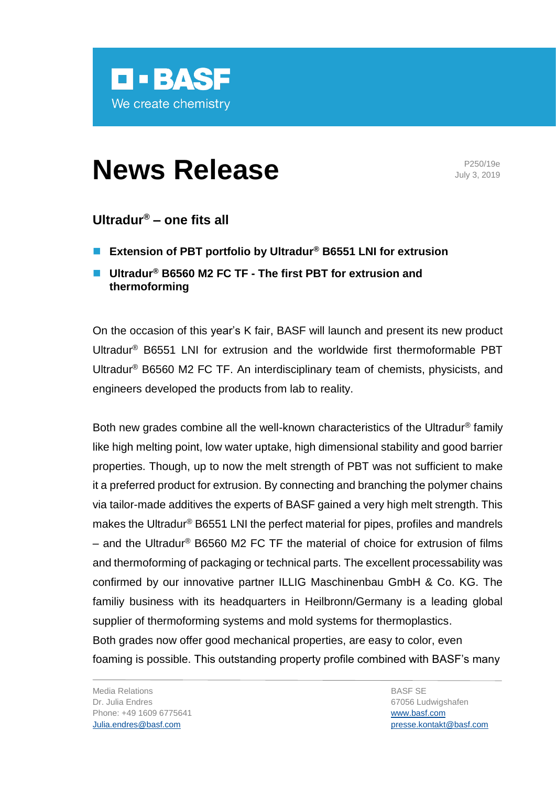

# **News Release** P250/19e

July 3, 2019

## **Ultradur® – one fits all**

- ◼ **Extension of PBT portfolio by Ultradur® B6551 LNI for extrusion**
- ◼ **Ultradur® B6560 M2 FC TF - The first PBT for extrusion and thermoforming**

On the occasion of this year's K fair, BASF will launch and present its new product Ultradur® B6551 LNI for extrusion and the worldwide first thermoformable PBT Ultradur® B6560 M2 FC TF. An interdisciplinary team of chemists, physicists, and engineers developed the products from lab to reality.

Both new grades combine all the well-known characteristics of the Ultradur® family like high melting point, low water uptake, high dimensional stability and good barrier properties. Though, up to now the melt strength of PBT was not sufficient to make it a preferred product for extrusion. By connecting and branching the polymer chains via tailor-made additives the experts of BASF gained a very high melt strength. This makes the Ultradur® B6551 LNI the perfect material for pipes, profiles and mandrels – and the Ultradur<sup>®</sup> B6560 M2 FC TF the material of choice for extrusion of films and thermoforming of packaging or technical parts. The excellent processability was confirmed by our innovative partner ILLIG Maschinenbau GmbH & Co. KG. The familiy business with its headquarters in Heilbronn/Germany is a leading global supplier of thermoforming systems and mold systems for thermoplastics. Both grades now offer good mechanical properties, are easy to color, even foaming is possible. This outstanding property profile combined with BASF's many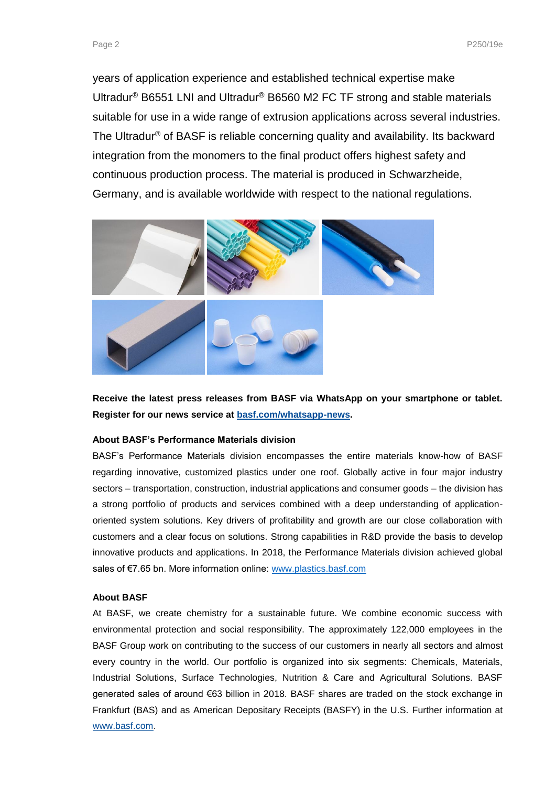years of application experience and established technical expertise make Ultradur® B6551 LNI and Ultradur® B6560 M2 FC TF strong and stable materials suitable for use in a wide range of extrusion applications across several industries. The Ultradur® of BASF is reliable concerning quality and availability. Its backward integration from the monomers to the final product offers highest safety and continuous production process. The material is produced in Schwarzheide, Germany, and is available worldwide with respect to the national regulations.



**Receive the latest press releases from BASF via WhatsApp on your smartphone or tablet. Register for our news service at [basf.com/whatsapp-news.](http://www.basf.com/whatsapp-news)**

#### **About BASF's Performance Materials division**

BASF's Performance Materials division encompasses the entire materials know-how of BASF regarding innovative, customized plastics under one roof. Globally active in four major industry sectors – transportation, construction, industrial applications and consumer goods – the division has a strong portfolio of products and services combined with a deep understanding of applicationoriented system solutions. Key drivers of profitability and growth are our close collaboration with customers and a clear focus on solutions. Strong capabilities in R&D provide the basis to develop innovative products and applications. In 2018, the Performance Materials division achieved global sales of €7.65 bn. More information online: [www.plastics.basf.com](http://www.plastics.basf.com/)

#### **About BASF**

At BASF, we create chemistry for a sustainable future. We combine economic success with environmental protection and social responsibility. The approximately 122,000 employees in the BASF Group work on contributing to the success of our customers in nearly all sectors and almost every country in the world. Our portfolio is organized into six segments: Chemicals, Materials, Industrial Solutions, Surface Technologies, Nutrition & Care and Agricultural Solutions. BASF generated sales of around €63 billion in 2018. BASF shares are traded on the stock exchange in Frankfurt (BAS) and as American Depositary Receipts (BASFY) in the U.S. Further information at [www.basf.com.](http://www.basf.com/)